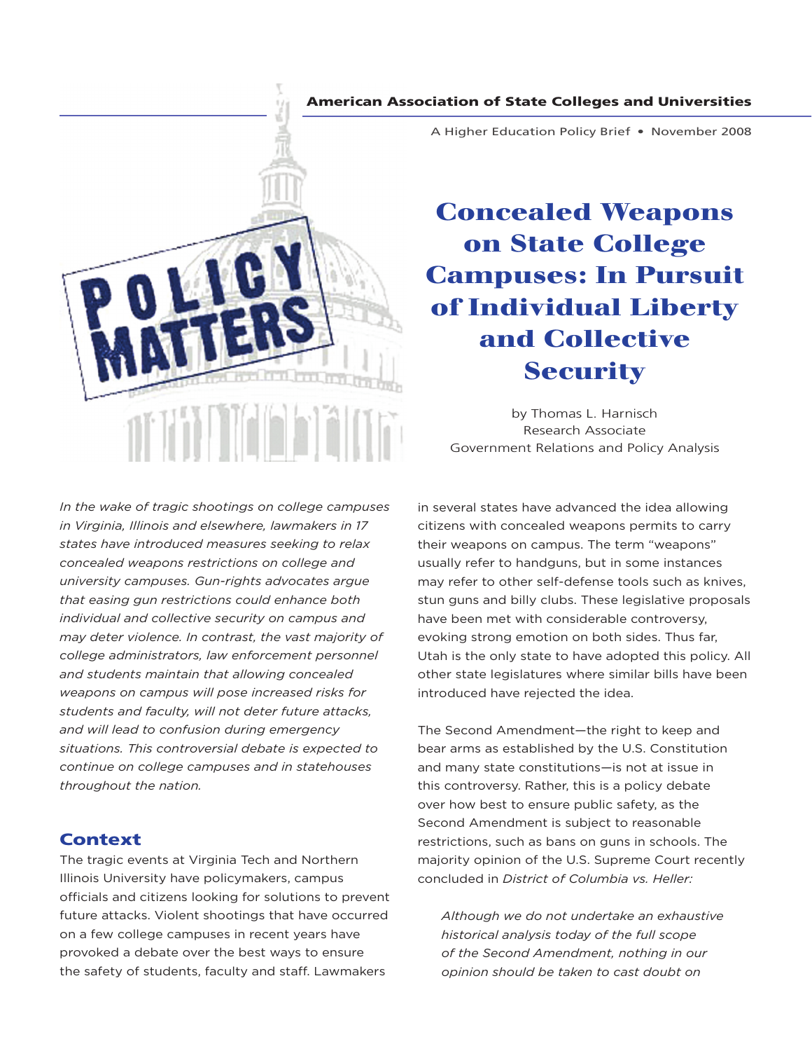#### American Association of State Colleges and Universities



A Higher Education Policy Brief • November 2008

# **Concealed Weapons on State College Campuses: In Pursuit of Individual Liberty and Collective Security**

by Thomas L. Harnisch Research Associate Government Relations and Policy Analysis

*In the wake of tragic shootings on college campuses in Virginia, Illinois and elsewhere, lawmakers in 17 states have introduced measures seeking to relax concealed weapons restrictions on college and university campuses. Gun-rights advocates argue that easing gun restrictions could enhance both individual and collective security on campus and may deter violence. In contrast, the vast majority of college administrators, law enforcement personnel and students maintain that allowing concealed weapons on campus will pose increased risks for students and faculty, will not deter future attacks, and will lead to confusion during emergency situations. This controversial debate is expected to continue on college campuses and in statehouses throughout the nation.* 

## **Context**

The tragic events at Virginia Tech and Northern Illinois University have policymakers, campus officials and citizens looking for solutions to prevent future attacks. Violent shootings that have occurred on a few college campuses in recent years have provoked a debate over the best ways to ensure the safety of students, faculty and staff. Lawmakers

in several states have advanced the idea allowing citizens with concealed weapons permits to carry their weapons on campus. The term "weapons" usually refer to handguns, but in some instances may refer to other self-defense tools such as knives, stun guns and billy clubs. These legislative proposals have been met with considerable controversy, evoking strong emotion on both sides. Thus far, Utah is the only state to have adopted this policy. All other state legislatures where similar bills have been introduced have rejected the idea.

The Second Amendment—the right to keep and bear arms as established by the U.S. Constitution and many state constitutions—is not at issue in this controversy. Rather, this is a policy debate over how best to ensure public safety, as the Second Amendment is subject to reasonable restrictions, such as bans on guns in schools. The majority opinion of the U.S. Supreme Court recently concluded in *District of Columbia vs. Heller:* 

*Although we do not undertake an exhaustive historical analysis today of the full scope of the Second Amendment, nothing in our opinion should be taken to cast doubt on*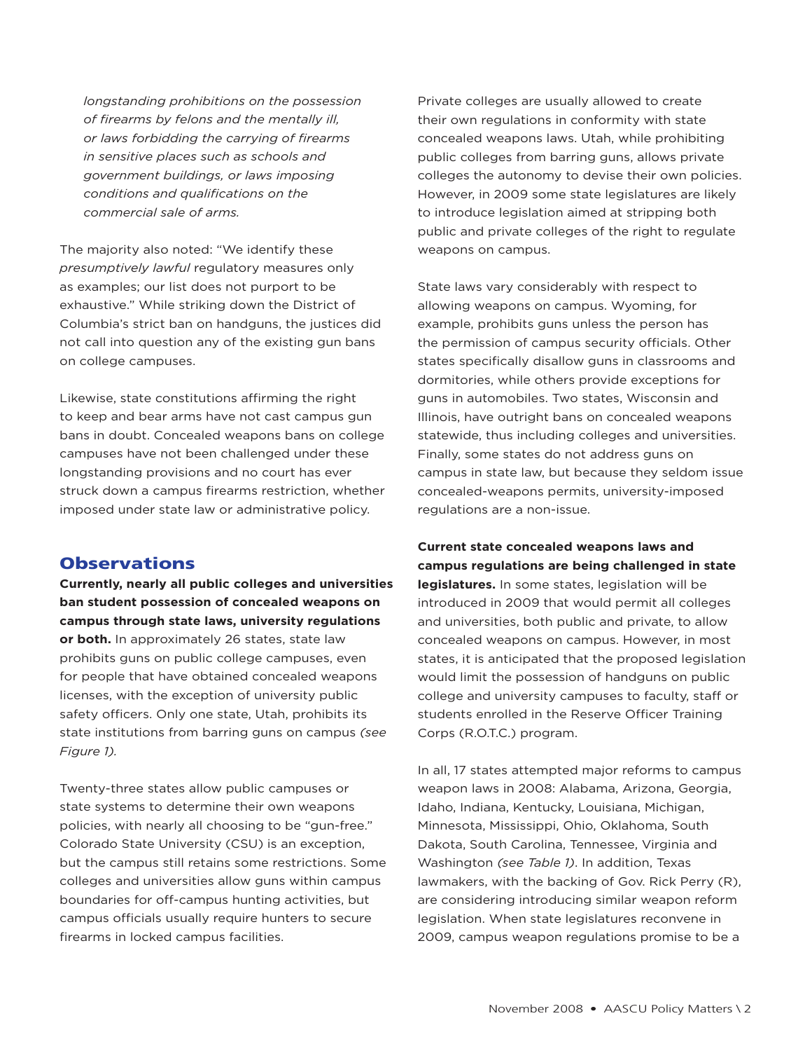*longstanding prohibitions on the possession of firearms by felons and the mentally ill, or laws forbidding the carrying of firearms in sensitive places such as schools and government buildings, or laws imposing conditions and qualifications on the commercial sale of arms.*

The majority also noted: "We identify these *presumptively lawful* regulatory measures only as examples; our list does not purport to be exhaustive." While striking down the District of Columbia's strict ban on handguns, the justices did not call into question any of the existing gun bans on college campuses.

Likewise, state constitutions affirming the right to keep and bear arms have not cast campus gun bans in doubt. Concealed weapons bans on college campuses have not been challenged under these longstanding provisions and no court has ever struck down a campus firearms restriction, whether imposed under state law or administrative policy.

## **Observations**

**Currently, nearly all public colleges and universities ban student possession of concealed weapons on campus through state laws, university regulations or both.** In approximately 26 states, state law prohibits guns on public college campuses, even for people that have obtained concealed weapons licenses, with the exception of university public safety officers. Only one state, Utah, prohibits its state institutions from barring guns on campus *(see Figure 1).*

Twenty-three states allow public campuses or state systems to determine their own weapons policies, with nearly all choosing to be "gun-free." Colorado State University (CSU) is an exception, but the campus still retains some restrictions. Some colleges and universities allow guns within campus boundaries for off-campus hunting activities, but campus officials usually require hunters to secure firearms in locked campus facilities.

Private colleges are usually allowed to create their own regulations in conformity with state concealed weapons laws. Utah, while prohibiting public colleges from barring guns, allows private colleges the autonomy to devise their own policies. However, in 2009 some state legislatures are likely to introduce legislation aimed at stripping both public and private colleges of the right to regulate weapons on campus.

State laws vary considerably with respect to allowing weapons on campus. Wyoming, for example, prohibits guns unless the person has the permission of campus security officials. Other states specifically disallow guns in classrooms and dormitories, while others provide exceptions for guns in automobiles. Two states, Wisconsin and Illinois, have outright bans on concealed weapons statewide, thus including colleges and universities. Finally, some states do not address guns on campus in state law, but because they seldom issue concealed-weapons permits, university-imposed regulations are a non-issue.

**Current state concealed weapons laws and campus regulations are being challenged in state legislatures.** In some states, legislation will be introduced in 2009 that would permit all colleges and universities, both public and private, to allow concealed weapons on campus. However, in most states, it is anticipated that the proposed legislation would limit the possession of handguns on public college and university campuses to faculty, staff or students enrolled in the Reserve Officer Training Corps (R.O.T.C.) program.

In all, 17 states attempted major reforms to campus weapon laws in 2008: Alabama, Arizona, Georgia, Idaho, Indiana, Kentucky, Louisiana, Michigan, Minnesota, Mississippi, Ohio, Oklahoma, South Dakota, South Carolina, Tennessee, Virginia and Washington *(see Table 1)*. In addition, Texas lawmakers, with the backing of Gov. Rick Perry (R), are considering introducing similar weapon reform legislation. When state legislatures reconvene in 2009, campus weapon regulations promise to be a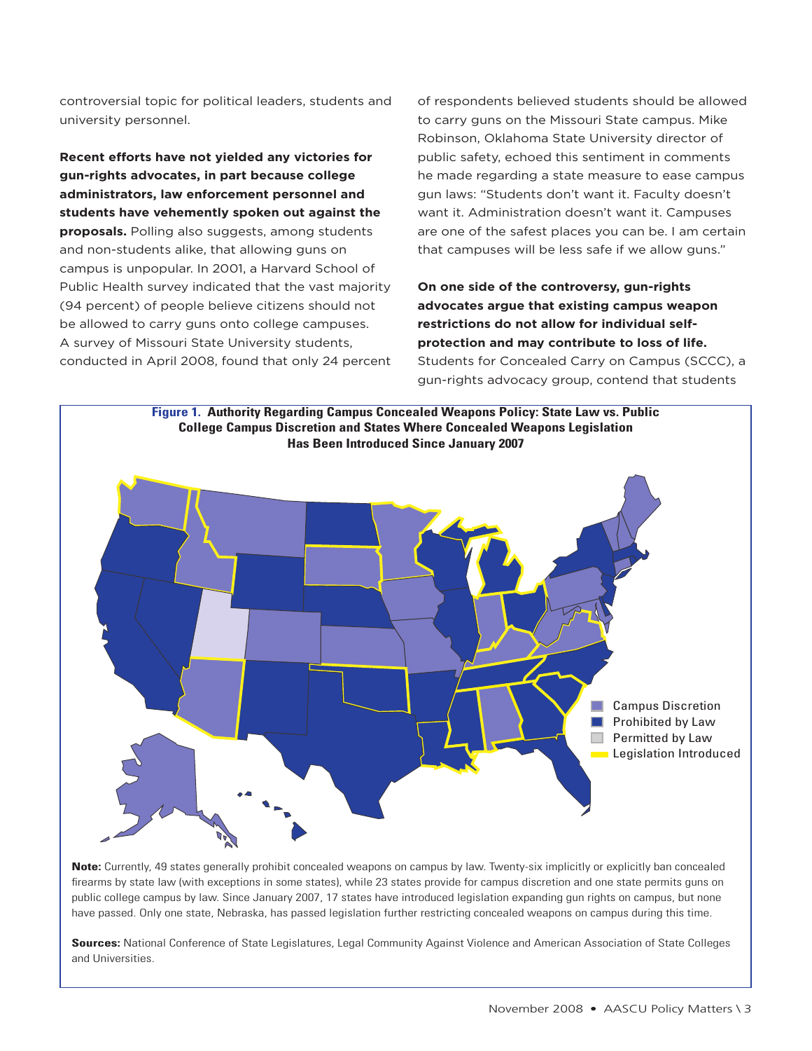controversial topic for political leaders, students and university personnel.

**Recent efforts have not yielded any victories for gun-rights advocates, in part because college administrators, law enforcement personnel and students have vehemently spoken out against the proposals.** Polling also suggests, among students and non-students alike, that allowing guns on campus is unpopular. In 2001, a Harvard School of Public Health survey indicated that the vast majority (94 percent) of people believe citizens should not be allowed to carry guns onto college campuses. A survey of Missouri State University students, conducted in April 2008, found that only 24 percent of respondents believed students should be allowed to carry guns on the Missouri State campus. Mike Robinson, Oklahoma State University director of public safety, echoed this sentiment in comments he made regarding a state measure to ease campus gun laws: "Students don't want it. Faculty doesn't want it. Administration doesn't want it. Campuses are one of the safest places you can be. I am certain that campuses will be less safe if we allow guns."

**On one side of the controversy, gun-rights advocates argue that existing campus weapon restrictions do not allow for individual selfprotection and may contribute to loss of life.**  Students for Concealed Carry on Campus (SCCC), a gun-rights advocacy group, contend that students



**Note:** Currently, 49 states generally prohibit concealed weapons on campus by law. Twenty-six implicitly or explicitly ban concealed firearms by state law (with exceptions in some states), while 23 states provide for campus discretion and one state permits guns on public college campus by law. Since January 2007, 17 states have introduced legislation expanding gun rights on campus, but none have passed. Only one state, Nebraska, has passed legislation further restricting concealed weapons on campus during this time.

**Sources:** National Conference of State Legislatures, Legal Community Against Violence and American Association of State Colleges and Universities.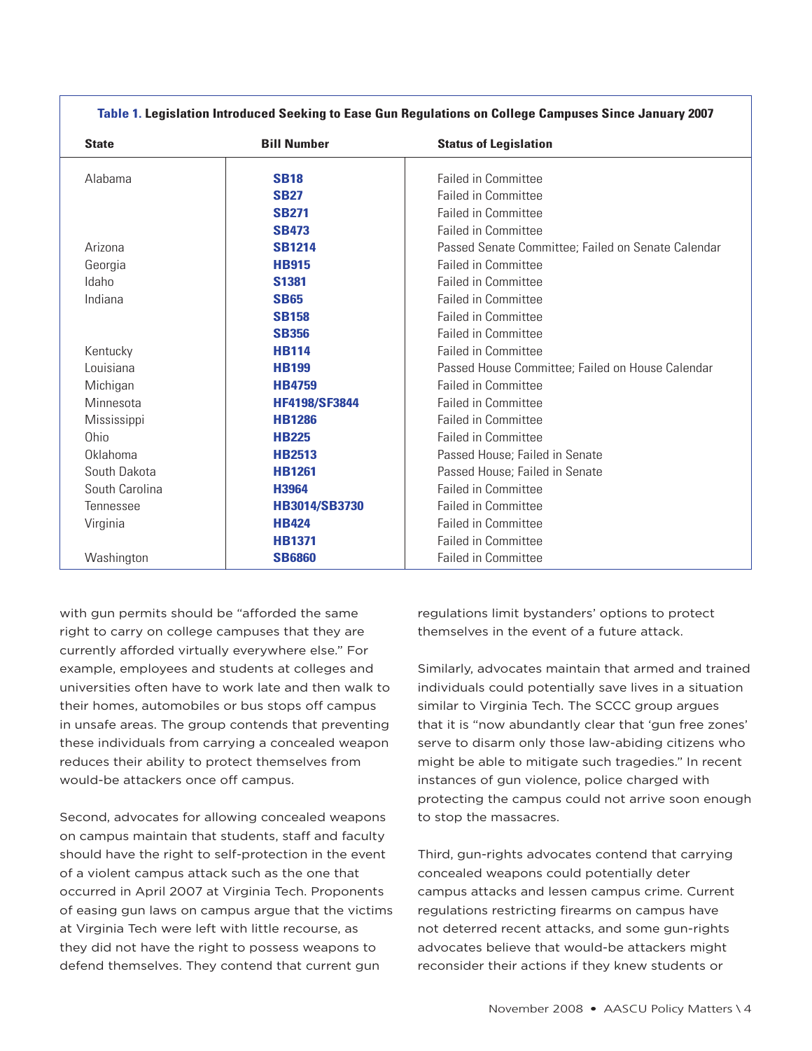| <b>State</b>   | <b>Bill Number</b>   | <b>Status of Legislation</b>                       |
|----------------|----------------------|----------------------------------------------------|
| Alabama        | <b>SB18</b>          | <b>Failed in Committee</b>                         |
|                | <b>SB27</b>          | <b>Failed in Committee</b>                         |
|                | <b>SB271</b>         | <b>Failed in Committee</b>                         |
|                | <b>SB473</b>         | <b>Failed in Committee</b>                         |
| Arizona        | <b>SB1214</b>        | Passed Senate Committee; Failed on Senate Calendar |
| Georgia        | <b>HB915</b>         | <b>Failed in Committee</b>                         |
| Idaho          | <b>S1381</b>         | <b>Failed in Committee</b>                         |
| Indiana        | <b>SB65</b>          | <b>Failed in Committee</b>                         |
|                | <b>SB158</b>         | <b>Failed in Committee</b>                         |
|                | <b>SB356</b>         | <b>Failed in Committee</b>                         |
| Kentucky       | <b>HB114</b>         | <b>Failed in Committee</b>                         |
| Louisiana      | <b>HB199</b>         | Passed House Committee; Failed on House Calendar   |
| Michigan       | <b>HB4759</b>        | <b>Failed in Committee</b>                         |
| Minnesota      | <b>HF4198/SF3844</b> | <b>Failed in Committee</b>                         |
| Mississippi    | <b>HB1286</b>        | <b>Failed in Committee</b>                         |
| Ohio           | <b>HB225</b>         | <b>Failed in Committee</b>                         |
| Oklahoma       | <b>HB2513</b>        | Passed House; Failed in Senate                     |
| South Dakota   | <b>HB1261</b>        | Passed House; Failed in Senate                     |
| South Carolina | H3964                | <b>Failed in Committee</b>                         |
| Tennessee      | <b>HB3014/SB3730</b> | <b>Failed in Committee</b>                         |
| Virginia       | <b>HB424</b>         | <b>Failed in Committee</b>                         |
|                | <b>HB1371</b>        | <b>Failed in Committee</b>                         |
| Washington     | <b>SB6860</b>        | <b>Failed in Committee</b>                         |

**Table 1. Legislation Introduced Seeking to Ease Gun Regulations on College Campuses Since January 2007**

with gun permits should be "afforded the same right to carry on college campuses that they are currently afforded virtually everywhere else." For example, employees and students at colleges and universities often have to work late and then walk to their homes, automobiles or bus stops off campus in unsafe areas. The group contends that preventing these individuals from carrying a concealed weapon reduces their ability to protect themselves from would-be attackers once off campus.

Second, advocates for allowing concealed weapons on campus maintain that students, staff and faculty should have the right to self-protection in the event of a violent campus attack such as the one that occurred in April 2007 at Virginia Tech. Proponents of easing gun laws on campus argue that the victims at Virginia Tech were left with little recourse, as they did not have the right to possess weapons to defend themselves. They contend that current gun

regulations limit bystanders' options to protect themselves in the event of a future attack.

Similarly, advocates maintain that armed and trained individuals could potentially save lives in a situation similar to Virginia Tech. The SCCC group argues that it is "now abundantly clear that 'gun free zones' serve to disarm only those law-abiding citizens who might be able to mitigate such tragedies." In recent instances of gun violence, police charged with protecting the campus could not arrive soon enough to stop the massacres.

Third, gun-rights advocates contend that carrying concealed weapons could potentially deter campus attacks and lessen campus crime. Current regulations restricting firearms on campus have not deterred recent attacks, and some gun-rights advocates believe that would-be attackers might reconsider their actions if they knew students or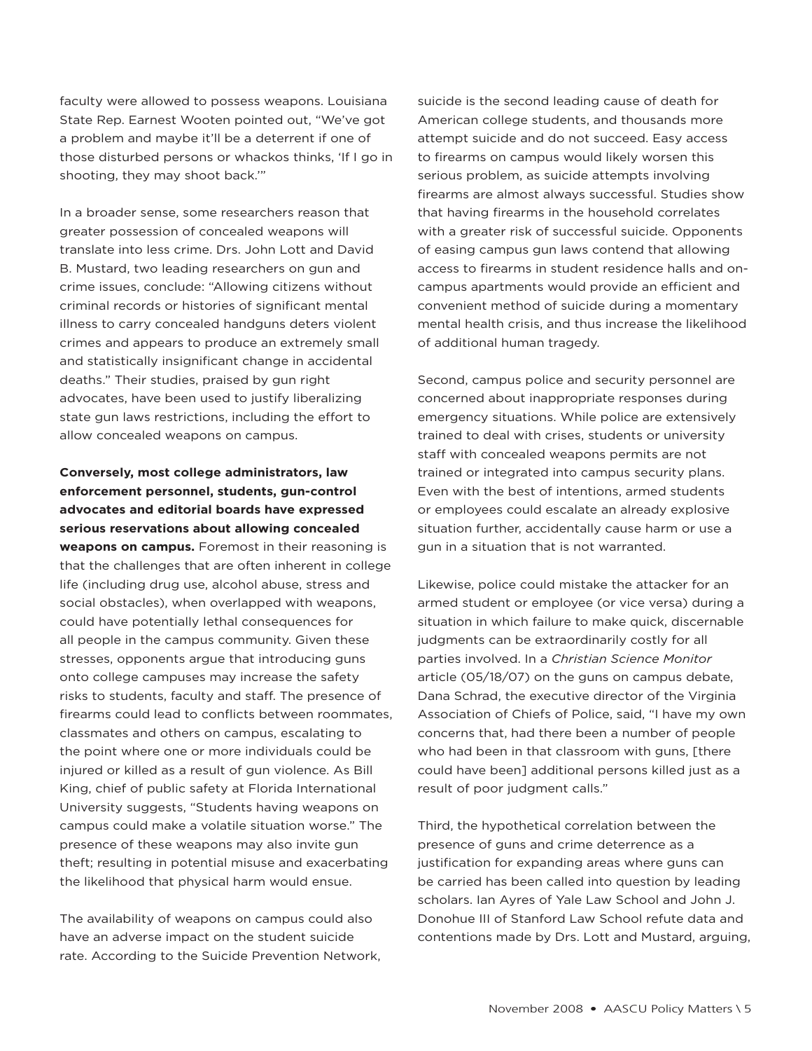faculty were allowed to possess weapons. Louisiana State Rep. Earnest Wooten pointed out, "We've got a problem and maybe it'll be a deterrent if one of those disturbed persons or whackos thinks, 'If I go in shooting, they may shoot back.'"

In a broader sense, some researchers reason that greater possession of concealed weapons will translate into less crime. Drs. John Lott and David B. Mustard, two leading researchers on gun and crime issues, conclude: "Allowing citizens without criminal records or histories of significant mental illness to carry concealed handguns deters violent crimes and appears to produce an extremely small and statistically insignificant change in accidental deaths." Their studies, praised by gun right advocates, have been used to justify liberalizing state gun laws restrictions, including the effort to allow concealed weapons on campus.

**Conversely, most college administrators, law enforcement personnel, students, gun-control advocates and editorial boards have expressed serious reservations about allowing concealed weapons on campus.** Foremost in their reasoning is that the challenges that are often inherent in college life (including drug use, alcohol abuse, stress and social obstacles), when overlapped with weapons, could have potentially lethal consequences for all people in the campus community. Given these stresses, opponents argue that introducing guns onto college campuses may increase the safety risks to students, faculty and staff. The presence of firearms could lead to conflicts between roommates, classmates and others on campus, escalating to the point where one or more individuals could be injured or killed as a result of gun violence. As Bill King, chief of public safety at Florida International University suggests, "Students having weapons on campus could make a volatile situation worse." The presence of these weapons may also invite gun theft; resulting in potential misuse and exacerbating the likelihood that physical harm would ensue.

The availability of weapons on campus could also have an adverse impact on the student suicide rate. According to the Suicide Prevention Network, suicide is the second leading cause of death for American college students, and thousands more attempt suicide and do not succeed. Easy access to firearms on campus would likely worsen this serious problem, as suicide attempts involving firearms are almost always successful. Studies show that having firearms in the household correlates with a greater risk of successful suicide. Opponents of easing campus gun laws contend that allowing access to firearms in student residence halls and oncampus apartments would provide an efficient and convenient method of suicide during a momentary mental health crisis, and thus increase the likelihood of additional human tragedy.

Second, campus police and security personnel are concerned about inappropriate responses during emergency situations. While police are extensively trained to deal with crises, students or university staff with concealed weapons permits are not trained or integrated into campus security plans. Even with the best of intentions, armed students or employees could escalate an already explosive situation further, accidentally cause harm or use a gun in a situation that is not warranted.

Likewise, police could mistake the attacker for an armed student or employee (or vice versa) during a situation in which failure to make quick, discernable judgments can be extraordinarily costly for all parties involved. In a *Christian Science Monitor*  article (05/18/07) on the guns on campus debate, Dana Schrad, the executive director of the Virginia Association of Chiefs of Police, said, "I have my own concerns that, had there been a number of people who had been in that classroom with guns, [there could have been] additional persons killed just as a result of poor judgment calls."

Third, the hypothetical correlation between the presence of guns and crime deterrence as a justification for expanding areas where guns can be carried has been called into question by leading scholars. Ian Ayres of Yale Law School and John J. Donohue III of Stanford Law School refute data and contentions made by Drs. Lott and Mustard, arguing,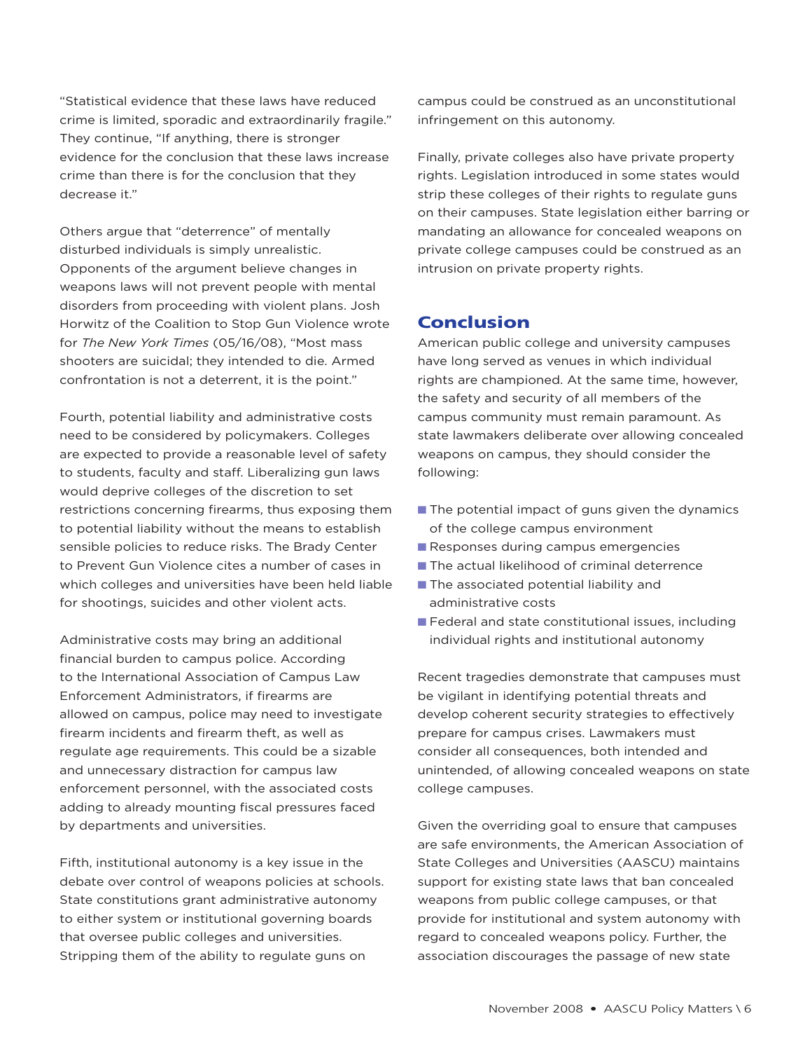"Statistical evidence that these laws have reduced crime is limited, sporadic and extraordinarily fragile." They continue, "If anything, there is stronger evidence for the conclusion that these laws increase crime than there is for the conclusion that they decrease it."

Others argue that "deterrence" of mentally disturbed individuals is simply unrealistic. Opponents of the argument believe changes in weapons laws will not prevent people with mental disorders from proceeding with violent plans. Josh Horwitz of the Coalition to Stop Gun Violence wrote for *The New York Times* (05/16/08), "Most mass shooters are suicidal; they intended to die. Armed confrontation is not a deterrent, it is the point."

Fourth, potential liability and administrative costs need to be considered by policymakers. Colleges are expected to provide a reasonable level of safety to students, faculty and staff. Liberalizing gun laws would deprive colleges of the discretion to set restrictions concerning firearms, thus exposing them to potential liability without the means to establish sensible policies to reduce risks. The Brady Center to Prevent Gun Violence cites a number of cases in which colleges and universities have been held liable for shootings, suicides and other violent acts.

Administrative costs may bring an additional financial burden to campus police. According to the International Association of Campus Law Enforcement Administrators, if firearms are allowed on campus, police may need to investigate firearm incidents and firearm theft, as well as regulate age requirements. This could be a sizable and unnecessary distraction for campus law enforcement personnel, with the associated costs adding to already mounting fiscal pressures faced by departments and universities.

Fifth, institutional autonomy is a key issue in the debate over control of weapons policies at schools. State constitutions grant administrative autonomy to either system or institutional governing boards that oversee public colleges and universities. Stripping them of the ability to regulate guns on

campus could be construed as an unconstitutional infringement on this autonomy.

Finally, private colleges also have private property rights. Legislation introduced in some states would strip these colleges of their rights to regulate guns on their campuses. State legislation either barring or mandating an allowance for concealed weapons on private college campuses could be construed as an intrusion on private property rights.

## Conclusion

American public college and university campuses have long served as venues in which individual rights are championed. At the same time, however, the safety and security of all members of the campus community must remain paramount. As state lawmakers deliberate over allowing concealed weapons on campus, they should consider the following:

- $\blacksquare$  The potential impact of guns given the dynamics of the college campus environment
- $\blacksquare$  Responses during campus emergencies
- $\blacksquare$  The actual likelihood of criminal deterrence
- **n** The associated potential liability and administrative costs
- $\blacksquare$  Federal and state constitutional issues, including individual rights and institutional autonomy

Recent tragedies demonstrate that campuses must be vigilant in identifying potential threats and develop coherent security strategies to effectively prepare for campus crises. Lawmakers must consider all consequences, both intended and unintended, of allowing concealed weapons on state college campuses.

Given the overriding goal to ensure that campuses are safe environments, the American Association of State Colleges and Universities (AASCU) maintains support for existing state laws that ban concealed weapons from public college campuses, or that provide for institutional and system autonomy with regard to concealed weapons policy. Further, the association discourages the passage of new state